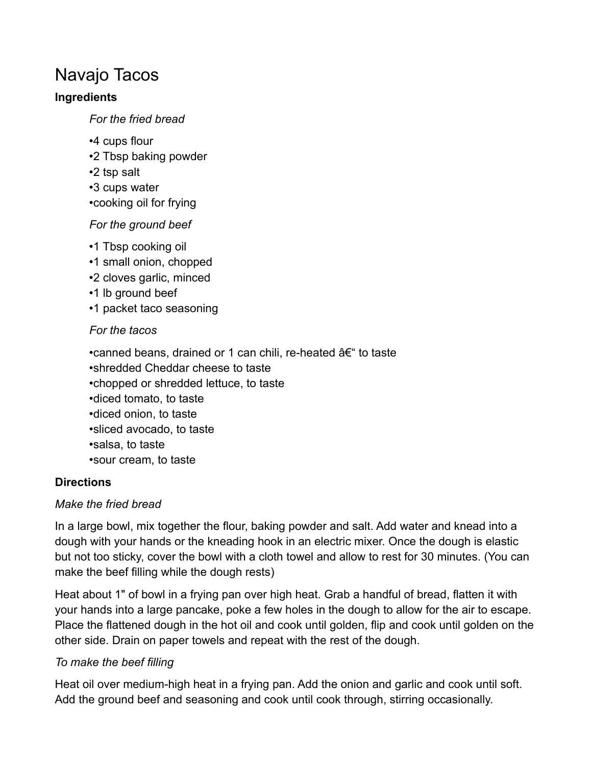# Navajo Tacos

#### **Ingredients**

*For the fried bread*

- •4 cups flour
- •2 Tbsp baking powder
- •2 tsp salt
- •3 cups water
- •cooking oil for frying

### *For the ground beef*

- •1 Tbsp cooking oil
- •1 small onion, chopped
- •2 cloves garlic, minced
- •1 lb ground beef
- •1 packet taco seasoning

### *For the tacos*

•canned beans, drained or 1 can chili, re-heated  $\hat{a}\epsilon$  to taste

- •shredded Cheddar cheese to taste
- •chopped or shredded lettuce, to taste
- •diced tomato, to taste
- •diced onion, to taste
- •sliced avocado, to taste
- •salsa, to taste
- •sour cream, to taste

## **Directions**

## *Make the fried bread*

In a large bowl, mix together the flour, baking powder and salt. Add water and knead into a dough with your hands or the kneading hook in an electric mixer. Once the dough is elastic but not too sticky, cover the bowl with a cloth towel and allow to rest for 30 minutes. (You can make the beef filling while the dough rests)

Heat about 1" of bowl in a frying pan over high heat. Grab a handful of bread, flatten it with your hands into a large pancake, poke a few holes in the dough to allow for the air to escape. Place the flattened dough in the hot oil and cook until golden, flip and cook until golden on the other side. Drain on paper towels and repeat with the rest of the dough.

## *To make the beef filling*

Heat oil over medium-high heat in a frying pan. Add the onion and garlic and cook until soft. Add the ground beef and seasoning and cook until cook through, stirring occasionally.